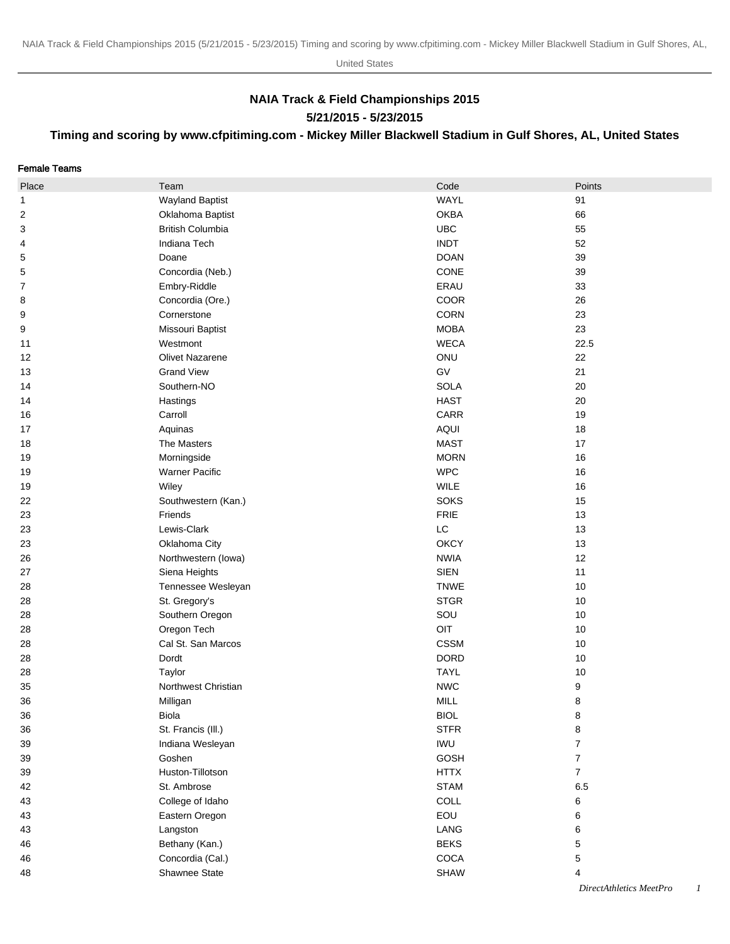United States

## **NAIA Track & Field Championships 2015 5/21/2015 - 5/23/2015**

## **Timing and scoring by www.cfpitiming.com - Mickey Miller Blackwell Stadium in Gulf Shores, AL, United States**

Female Teams

| Place | Team                    | Code        | Points                  |
|-------|-------------------------|-------------|-------------------------|
| 1     | <b>Wayland Baptist</b>  | WAYL        | 91                      |
| 2     | Oklahoma Baptist        | <b>OKBA</b> | 66                      |
| 3     | <b>British Columbia</b> | <b>UBC</b>  | 55                      |
| 4     | <b>Indiana Tech</b>     | <b>INDT</b> | 52                      |
| 5     | Doane                   | <b>DOAN</b> | 39                      |
| 5     | Concordia (Neb.)        | CONE        | 39                      |
| 7     | Embry-Riddle            | ERAU        | 33                      |
| 8     | Concordia (Ore.)        | COOR        | 26                      |
| 9     | Cornerstone             | <b>CORN</b> | 23                      |
| 9     | Missouri Baptist        | <b>MOBA</b> | 23                      |
| 11    | Westmont                | <b>WECA</b> | 22.5                    |
| 12    | <b>Olivet Nazarene</b>  | ONU         | 22                      |
| 13    | <b>Grand View</b>       | GV          | 21                      |
| 14    | Southern-NO             | <b>SOLA</b> | 20                      |
| 14    | Hastings                | <b>HAST</b> | 20                      |
| 16    | Carroll                 | CARR        | 19                      |
| 17    | Aquinas                 | AQUI        | 18                      |
| 18    | The Masters             | <b>MAST</b> | 17                      |
| 19    | Morningside             | <b>MORN</b> | 16                      |
| 19    | <b>Warner Pacific</b>   | <b>WPC</b>  | 16                      |
| 19    | Wiley                   | <b>WILE</b> | 16                      |
| 22    | Southwestern (Kan.)     | <b>SOKS</b> | 15                      |
| 23    | Friends                 | <b>FRIE</b> | 13                      |
| 23    | Lewis-Clark             | LC          | 13                      |
| 23    | Oklahoma City           | <b>OKCY</b> | 13                      |
| 26    | Northwestern (lowa)     | <b>NWIA</b> | 12                      |
| 27    | Siena Heights           | <b>SIEN</b> | 11                      |
| 28    | Tennessee Wesleyan      | <b>TNWE</b> | 10                      |
| 28    | St. Gregory's           | <b>STGR</b> | 10                      |
| 28    | Southern Oregon         | SOU         | 10                      |
| 28    | Oregon Tech             | OIT         | 10                      |
| 28    | Cal St. San Marcos      | <b>CSSM</b> | 10                      |
| 28    | Dordt                   | <b>DORD</b> | 10                      |
| 28    | Taylor                  | <b>TAYL</b> | 10                      |
| 35    | Northwest Christian     | <b>NWC</b>  | 9                       |
| 36    | Milligan                | MILL        | 8                       |
| 36    | Biola                   | <b>BIOL</b> | 8                       |
| 36    | St. Francis (III.)      | <b>STFR</b> | 8                       |
| 39    | Indiana Wesleyan        | <b>IWU</b>  | $\overline{7}$          |
| 39    | Goshen                  | GOSH        | $\overline{7}$          |
| 39    | Huston-Tillotson        | <b>HTTX</b> | $\overline{7}$          |
| 42    | St. Ambrose             | <b>STAM</b> | 6.5                     |
| 43    | College of Idaho        | COLL        | 6                       |
| 43    | Eastern Oregon          | EOU         | 6                       |
| 43    | Langston                | LANG        | 6                       |
| 46    | Bethany (Kan.)          | <b>BEKS</b> | 5                       |
| 46    | Concordia (Cal.)        | COCA        | 5                       |
| 48    | Shawnee State           | SHAW        | 4                       |
|       |                         |             | DirectAthletics MeetPro |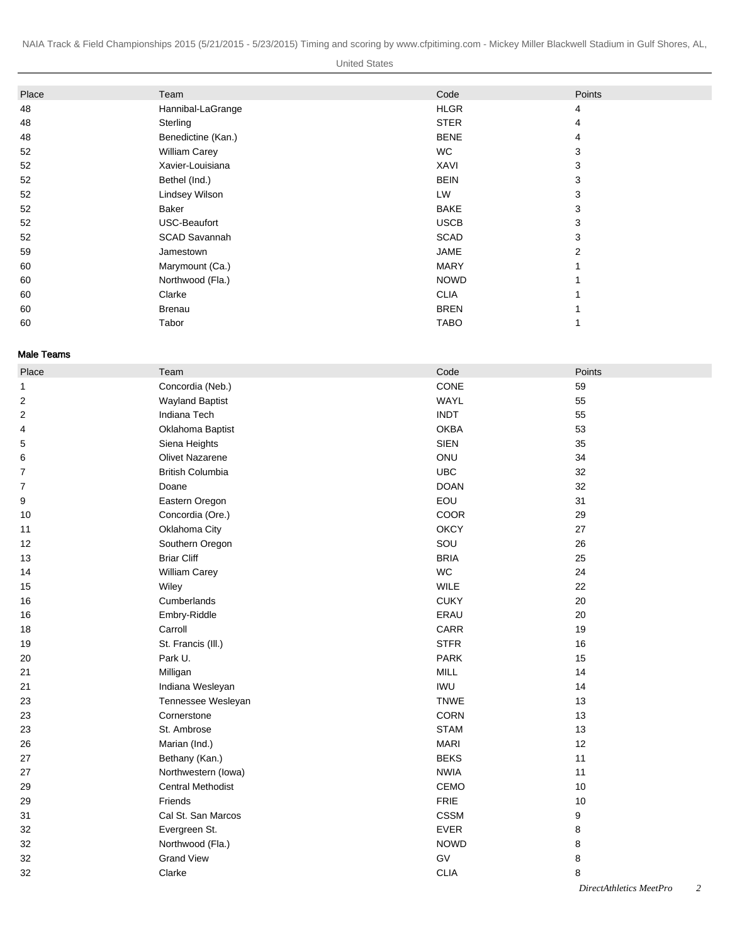NAIA Track & Field Championships 2015 (5/21/2015 - 5/23/2015) Timing and scoring by www.cfpitiming.com - Mickey Miller Blackwell Stadium in Gulf Shores, AL,

United States

| Place | Team                 | Code        | Points         |
|-------|----------------------|-------------|----------------|
| 48    | Hannibal-LaGrange    | <b>HLGR</b> | 4              |
| 48    | Sterling             | <b>STER</b> | 4              |
| 48    | Benedictine (Kan.)   | <b>BENE</b> | 4              |
| 52    | <b>William Carey</b> | <b>WC</b>   | 3              |
| 52    | Xavier-Louisiana     | XAVI        | 3              |
| 52    | Bethel (Ind.)        | <b>BEIN</b> | 3              |
| 52    | Lindsey Wilson       | LW          | 3              |
| 52    | Baker                | <b>BAKE</b> | 3              |
| 52    | USC-Beaufort         | <b>USCB</b> | 3              |
| 52    | <b>SCAD Savannah</b> | <b>SCAD</b> | 3              |
| 59    | Jamestown            | JAME        | $\overline{2}$ |
| 60    | Marymount (Ca.)      | <b>MARY</b> |                |
| 60    | Northwood (Fla.)     | <b>NOWD</b> |                |
| 60    | Clarke               | <b>CLIA</b> |                |
| 60    | Brenau               | <b>BREN</b> |                |
| 60    | Tabor                | <b>TABO</b> |                |
|       |                      |             |                |

## Male Teams

| Place            | Team                     | Code        | Points |
|------------------|--------------------------|-------------|--------|
| 1                | Concordia (Neb.)         | CONE        | 59     |
| 2                | <b>Wayland Baptist</b>   | WAYL        | 55     |
| $\overline{c}$   | Indiana Tech             | <b>INDT</b> | 55     |
| 4                | Oklahoma Baptist         | <b>OKBA</b> | 53     |
| 5                | Siena Heights            | <b>SIEN</b> | 35     |
| 6                | <b>Olivet Nazarene</b>   | ONU         | 34     |
| $\boldsymbol{7}$ | <b>British Columbia</b>  | <b>UBC</b>  | 32     |
| 7                | Doane                    | <b>DOAN</b> | 32     |
| 9                | Eastern Oregon           | EOU         | 31     |
| 10               | Concordia (Ore.)         | COOR        | 29     |
| 11               | Oklahoma City            | <b>OKCY</b> | 27     |
| 12               | Southern Oregon          | SOU         | 26     |
| 13               | <b>Briar Cliff</b>       | <b>BRIA</b> | 25     |
| 14               | <b>William Carey</b>     | WC          | 24     |
| 15               | Wiley                    | <b>WILE</b> | 22     |
| 16               | Cumberlands              | <b>CUKY</b> | 20     |
| 16               | Embry-Riddle             | ERAU        | 20     |
| 18               | Carroll                  | CARR        | 19     |
| 19               | St. Francis (III.)       | <b>STFR</b> | 16     |
| 20               | Park U.                  | <b>PARK</b> | 15     |
| 21               | Milligan                 | <b>MILL</b> | 14     |
| 21               | Indiana Wesleyan         | <b>IWU</b>  | 14     |
| 23               | Tennessee Wesleyan       | <b>TNWE</b> | 13     |
| 23               | Cornerstone              | <b>CORN</b> | 13     |
| 23               | St. Ambrose              | <b>STAM</b> | 13     |
| 26               | Marian (Ind.)            | <b>MARI</b> | 12     |
| 27               | Bethany (Kan.)           | <b>BEKS</b> | 11     |
| 27               | Northwestern (lowa)      | <b>NWIA</b> | 11     |
| 29               | <b>Central Methodist</b> | CEMO        | 10     |
| 29               | Friends                  | <b>FRIE</b> | 10     |
| 31               | Cal St. San Marcos       | <b>CSSM</b> | 9      |
| 32               | Evergreen St.            | EVER        | 8      |
| 32               | Northwood (Fla.)         | <b>NOWD</b> | 8      |
| 32               | <b>Grand View</b>        | GV          | 8      |
| 32               | Clarke                   | <b>CLIA</b> | 8      |
|                  |                          |             |        |